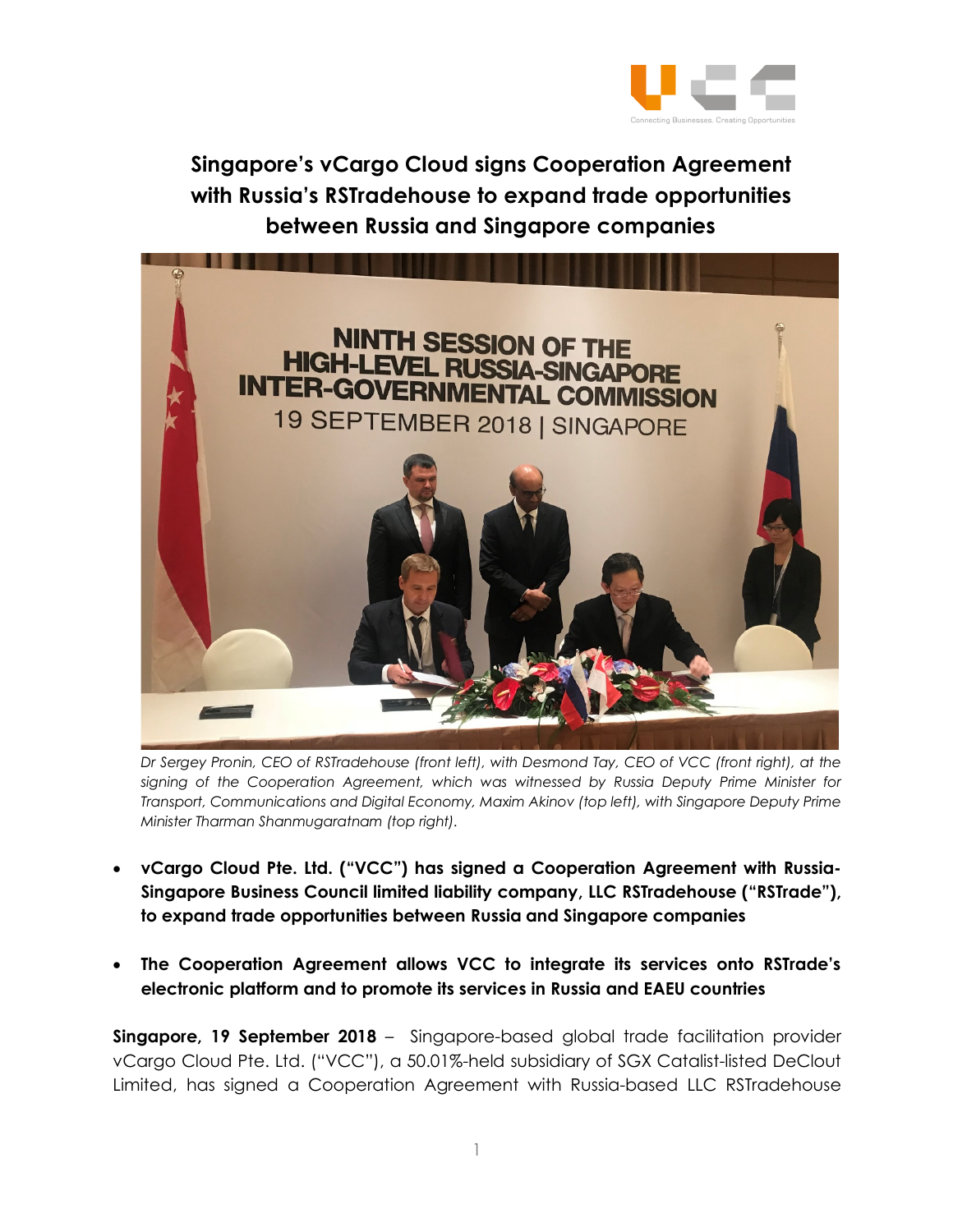

**Singapore's vCargo Cloud signs Cooperation Agreement with Russia's RSTradehouse to expand trade opportunities between Russia and Singapore companies**



*Dr Sergey Pronin, CEO of RSTradehouse (front left), with Desmond Tay, CEO of VCC (front right), at the signing of the Cooperation Agreement, which was witnessed by Russia Deputy Prime Minister for Transport, Communications and Digital Economy, Maxim Akinov (top left), with Singapore Deputy Prime Minister Tharman Shanmugaratnam (top right).* 

- **vCargo Cloud Pte. Ltd. ("VCC") has signed a Cooperation Agreement with Russia-Singapore Business Council limited liability company, LLC RSTradehouse ("RSTrade"), to expand trade opportunities between Russia and Singapore companies**
- **The Cooperation Agreement allows VCC to integrate its services onto RSTrade's electronic platform and to promote its services in Russia and EAEU countries**

**Singapore, 19 September 2018** – Singapore-based global trade facilitation provider vCargo Cloud Pte. Ltd. ("VCC"), a 50.01%-held subsidiary of SGX Catalist-listed DeClout Limited, has signed a Cooperation Agreement with Russia-based LLC RSTradehouse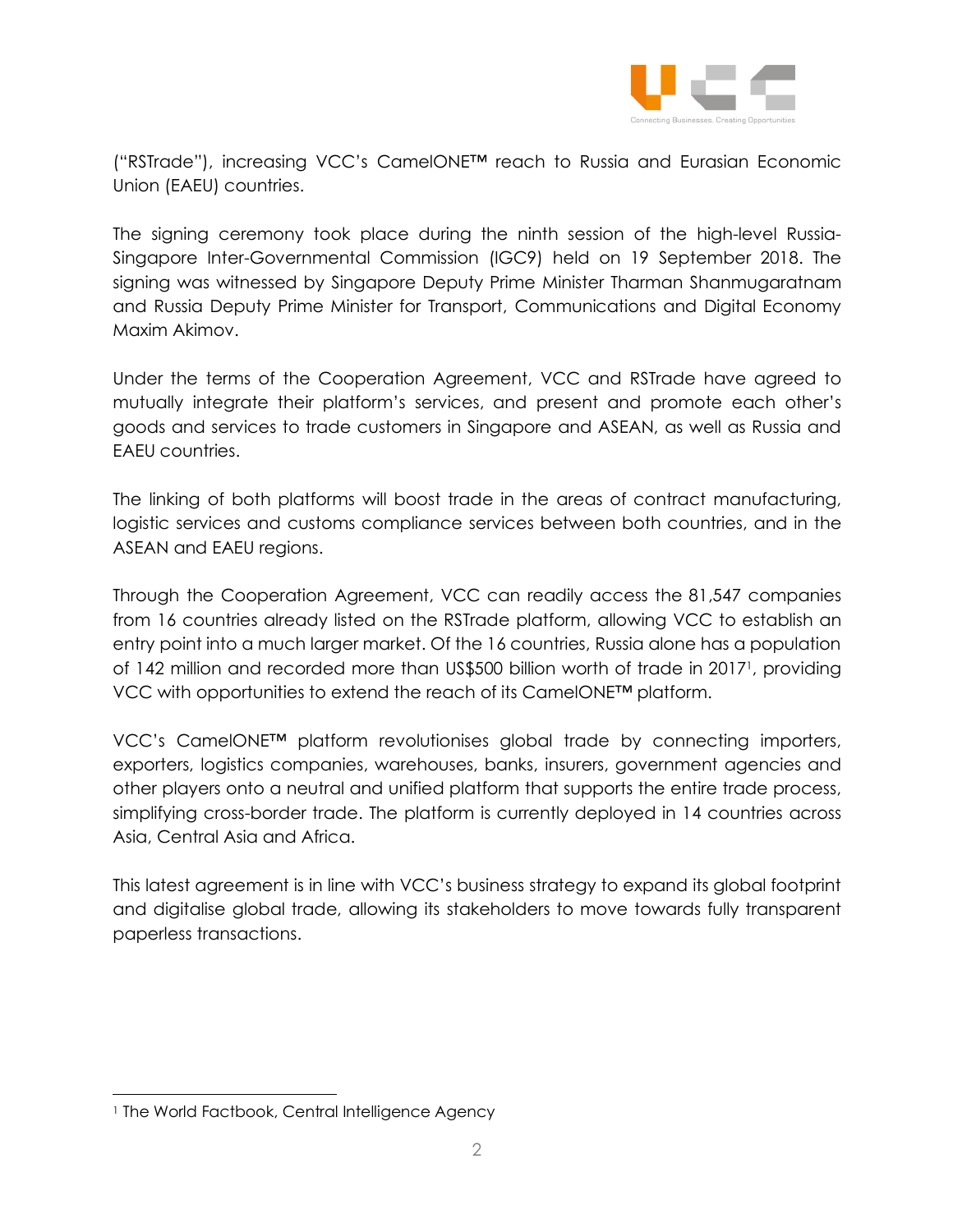

("RSTrade"), increasing VCC's CamelONE™ reach to Russia and Eurasian Economic Union (EAEU) countries.

The signing ceremony took place during the ninth session of the high-level Russia-Singapore Inter-Governmental Commission (IGC9) held on 19 September 2018. The signing was witnessed by Singapore Deputy Prime Minister Tharman Shanmugaratnam and Russia Deputy Prime Minister for Transport, Communications and Digital Economy Maxim Akimov.

Under the terms of the Cooperation Agreement, VCC and RSTrade have agreed to mutually integrate their platform's services, and present and promote each other's goods and services to trade customers in Singapore and ASEAN, as well as Russia and EAEU countries.

The linking of both platforms will boost trade in the areas of contract manufacturing, logistic services and customs compliance services between both countries, and in the ASEAN and EAEU regions.

Through the Cooperation Agreement, VCC can readily access the 81,547 companies from 16 countries already listed on the RSTrade platform, allowing VCC to establish an entry point into a much larger market. Of the 16 countries, Russia alone has a population of 142 million and recorded more than US\$500 billion worth of trade in 20171, providing VCC with opportunities to extend the reach of its CamelONE™ platform.

VCC's CamelONE™ platform revolutionises global trade by connecting importers, exporters, logistics companies, warehouses, banks, insurers, government agencies and other players onto a neutral and unified platform that supports the entire trade process, simplifying cross-border trade. The platform is currently deployed in 14 countries across Asia, Central Asia and Africa.

This latest agreement is in line with VCC's business strategy to expand its global footprint and digitalise global trade, allowing its stakeholders to move towards fully transparent paperless transactions.

<sup>&</sup>lt;sup>1</sup> The World Factbook, Central Intelligence Agency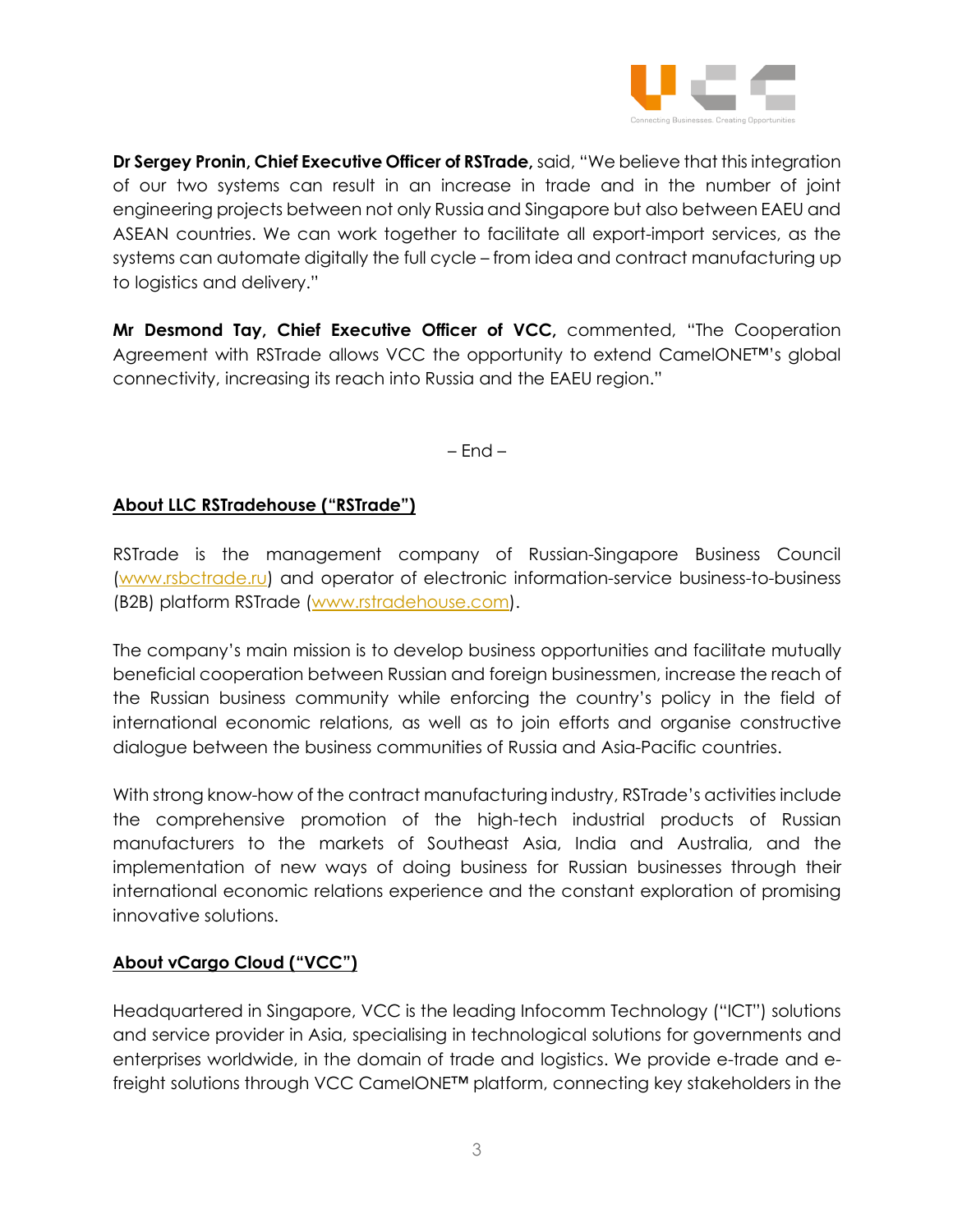

**Dr Sergey Pronin, Chief Executive Officer of RSTrade,** said, "We believe that this integration of our two systems can result in an increase in trade and in the number of joint engineering projects between not only Russia and Singapore but also between EAEU and ASEAN countries. We can work together to facilitate all export-import services, as the systems can automate digitally the full cycle – from idea and contract manufacturing up to logistics and delivery."

**Mr Desmond Tay, Chief Executive Officer of VCC,** commented, "The Cooperation Agreement with RSTrade allows VCC the opportunity to extend CamelONE™'s global connectivity, increasing its reach into Russia and the EAEU region."

– End –

## **About LLC RSTradehouse ("RSTrade")**

RSTrade is the management company of Russian-Singapore Business Council (www.rsbctrade.ru) and operator of electronic information-service business-to-business (B2B) platform RSTrade (www.rstradehouse.com).

The company's main mission is to develop business opportunities and facilitate mutually beneficial cooperation between Russian and foreign businessmen, increase the reach of the Russian business community while enforcing the country's policy in the field of international economic relations, as well as to join efforts and organise constructive dialogue between the business communities of Russia and Asia-Pacific countries.

With strong know-how of the contract manufacturing industry, RSTrade's activities include the comprehensive promotion of the high-tech industrial products of Russian manufacturers to the markets of Southeast Asia, India and Australia, and the implementation of new ways of doing business for Russian businesses through their international economic relations experience and the constant exploration of promising innovative solutions.

## **About vCargo Cloud ("VCC")**

Headquartered in Singapore, VCC is the leading Infocomm Technology ("ICT") solutions and service provider in Asia, specialising in technological solutions for governments and enterprises worldwide, in the domain of trade and logistics. We provide e-trade and efreight solutions through VCC CamelONE™ platform, connecting key stakeholders in the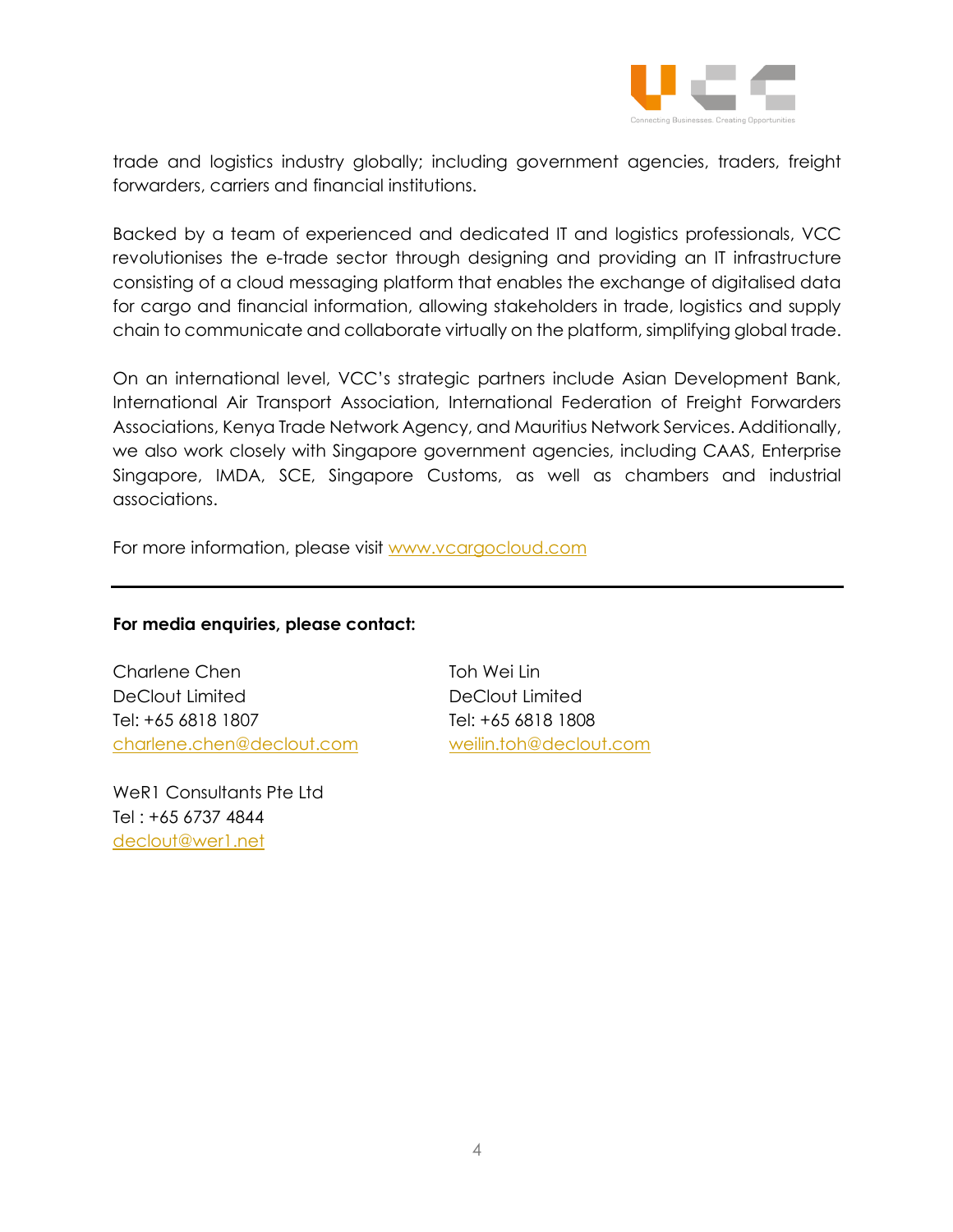

trade and logistics industry globally; including government agencies, traders, freight forwarders, carriers and financial institutions.

Backed by a team of experienced and dedicated IT and logistics professionals, VCC revolutionises the e-trade sector through designing and providing an IT infrastructure consisting of a cloud messaging platform that enables the exchange of digitalised data for cargo and financial information, allowing stakeholders in trade, logistics and supply chain to communicate and collaborate virtually on the platform, simplifying global trade.

On an international level, VCC's strategic partners include Asian Development Bank, International Air Transport Association, International Federation of Freight Forwarders Associations, Kenya Trade Network Agency, and Mauritius Network Services. Additionally, we also work closely with Singapore government agencies, including CAAS, Enterprise Singapore, IMDA, SCE, Singapore Customs, as well as chambers and industrial associations.

For more information, please visit www.vcargocloud.com

## **For media enquiries, please contact:**

Charlene Chen Toh Wei Lin DeClout Limited DeClout Limited Tel: +65 6818 1807 Tel: +65 6818 1808 charlene.chen@declout.com weilin.toh@declout.com

WeR1 Consultants Pte Ltd Tel : +65 6737 4844 declout@wer1.net